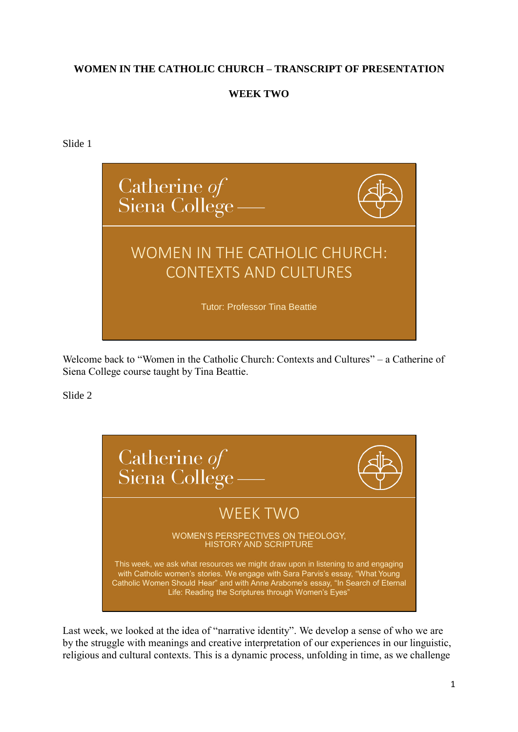### **WOMEN IN THE CATHOLIC CHURCH – TRANSCRIPT OF PRESENTATION**

## **WEEK TWO**

Slide 1



Welcome back to "Women in the Catholic Church: Contexts and Cultures" – a Catherine of Siena College course taught by Tina Beattie.

Slide 2



Last week, we looked at the idea of "narrative identity". We develop a sense of who we are by the struggle with meanings and creative interpretation of our experiences in our linguistic, religious and cultural contexts. This is a dynamic process, unfolding in time, as we challenge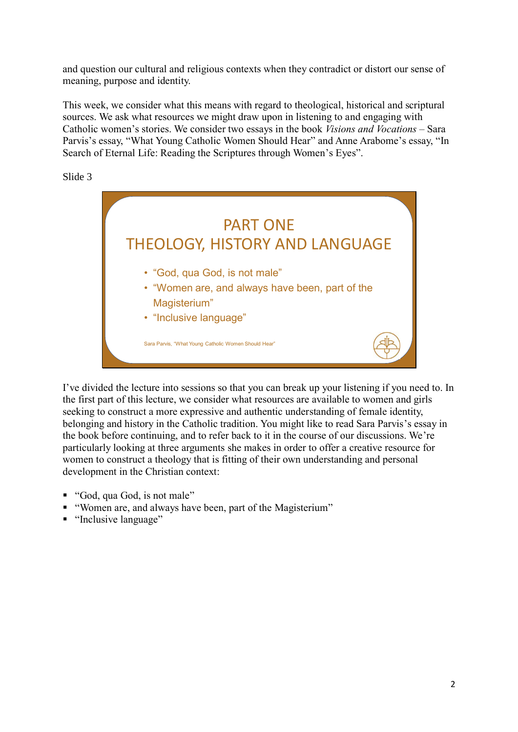and question our cultural and religious contexts when they contradict or distort our sense of meaning, purpose and identity.

This week, we consider what this means with regard to theological, historical and scriptural sources. We ask what resources we might draw upon in listening to and engaging with Catholic women's stories. We consider two essays in the book *Visions and Vocations* – Sara Parvis's essay, "What Young Catholic Women Should Hear" and Anne Arabome's essay, "In Search of Eternal Life: Reading the Scriptures through Women's Eyes".

Slide 3



I've divided the lecture into sessions so that you can break up your listening if you need to. In the first part of this lecture, we consider what resources are available to women and girls seeking to construct a more expressive and authentic understanding of female identity, belonging and history in the Catholic tradition. You might like to read Sara Parvis's essay in the book before continuing, and to refer back to it in the course of our discussions. We're particularly looking at three arguments she makes in order to offer a creative resource for women to construct a theology that is fitting of their own understanding and personal development in the Christian context:

- "God, qua God, is not male"
- "Women are, and always have been, part of the Magisterium"
- "Inclusive language"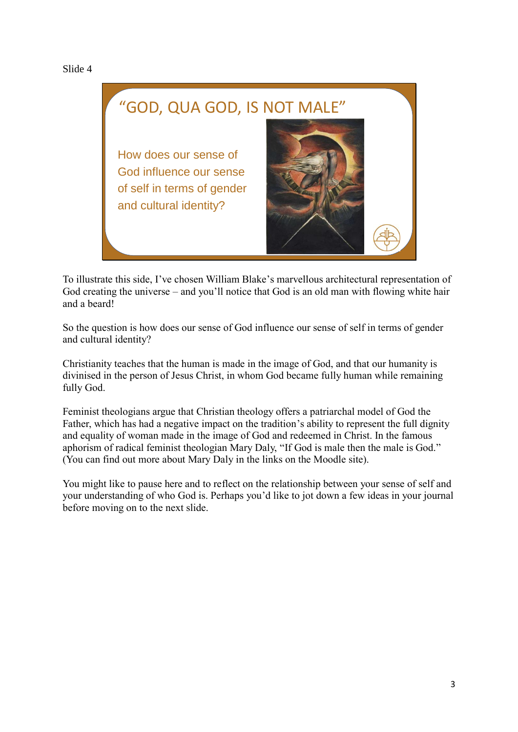# "GOD, QUA GOD, IS NOT MALE" How does our sense of God influence our sense of self in terms of gender and cultural identity?

To illustrate this side, I've chosen William Blake's marvellous architectural representation of God creating the universe – and you'll notice that God is an old man with flowing white hair and a beard!

So the question is how does our sense of God influence our sense of self in terms of gender and cultural identity?

Christianity teaches that the human is made in the image of God, and that our humanity is divinised in the person of Jesus Christ, in whom God became fully human while remaining fully God.

Feminist theologians argue that Christian theology offers a patriarchal model of God the Father, which has had a negative impact on the tradition's ability to represent the full dignity and equality of woman made in the image of God and redeemed in Christ. In the famous aphorism of radical feminist theologian Mary Daly, "If God is male then the male is God." (You can find out more about Mary Daly in the links on the Moodle site).

You might like to pause here and to reflect on the relationship between your sense of self and your understanding of who God is. Perhaps you'd like to jot down a few ideas in your journal before moving on to the next slide.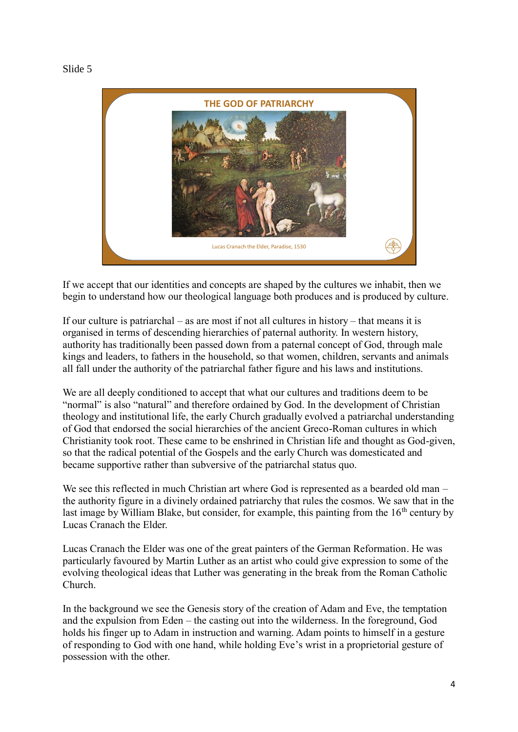

If we accept that our identities and concepts are shaped by the cultures we inhabit, then we begin to understand how our theological language both produces and is produced by culture.

If our culture is patriarchal – as are most if not all cultures in history – that means it is organised in terms of descending hierarchies of paternal authority. In western history, authority has traditionally been passed down from a paternal concept of God, through male kings and leaders, to fathers in the household, so that women, children, servants and animals all fall under the authority of the patriarchal father figure and his laws and institutions.

We are all deeply conditioned to accept that what our cultures and traditions deem to be "normal" is also "natural" and therefore ordained by God. In the development of Christian theology and institutional life, the early Church gradually evolved a patriarchal understanding of God that endorsed the social hierarchies of the ancient Greco-Roman cultures in which Christianity took root. These came to be enshrined in Christian life and thought as God-given, so that the radical potential of the Gospels and the early Church was domesticated and became supportive rather than subversive of the patriarchal status quo.

We see this reflected in much Christian art where God is represented as a bearded old man – the authority figure in a divinely ordained patriarchy that rules the cosmos. We saw that in the last image by William Blake, but consider, for example, this painting from the  $16<sup>th</sup>$  century by Lucas Cranach the Elder.

Lucas Cranach the Elder was one of the great painters of the German Reformation. He was particularly favoured by Martin Luther as an artist who could give expression to some of the evolving theological ideas that Luther was generating in the break from the Roman Catholic Church.

In the background we see the Genesis story of the creation of Adam and Eve, the temptation and the expulsion from Eden – the casting out into the wilderness. In the foreground, God holds his finger up to Adam in instruction and warning. Adam points to himself in a gesture of responding to God with one hand, while holding Eve's wrist in a proprietorial gesture of possession with the other.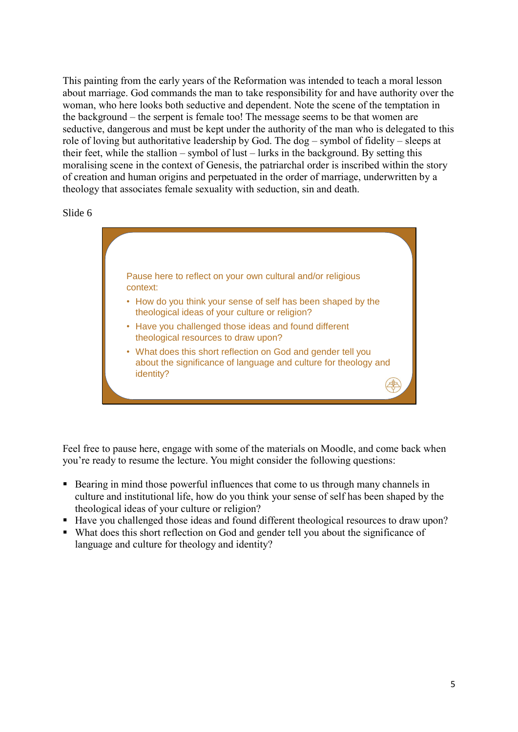This painting from the early years of the Reformation was intended to teach a moral lesson about marriage. God commands the man to take responsibility for and have authority over the woman, who here looks both seductive and dependent. Note the scene of the temptation in the background – the serpent is female too! The message seems to be that women are seductive, dangerous and must be kept under the authority of the man who is delegated to this role of loving but authoritative leadership by God. The dog – symbol of fidelity – sleeps at their feet, while the stallion – symbol of lust – lurks in the background. By setting this moralising scene in the context of Genesis, the patriarchal order is inscribed within the story of creation and human origins and perpetuated in the order of marriage, underwritten by a theology that associates female sexuality with seduction, sin and death.

#### Slide 6



Feel free to pause here, engage with some of the materials on Moodle, and come back when you're ready to resume the lecture. You might consider the following questions:

- Bearing in mind those powerful influences that come to us through many channels in culture and institutional life, how do you think your sense of self has been shaped by the theological ideas of your culture or religion?
- Have you challenged those ideas and found different theological resources to draw upon?
- What does this short reflection on God and gender tell you about the significance of language and culture for theology and identity?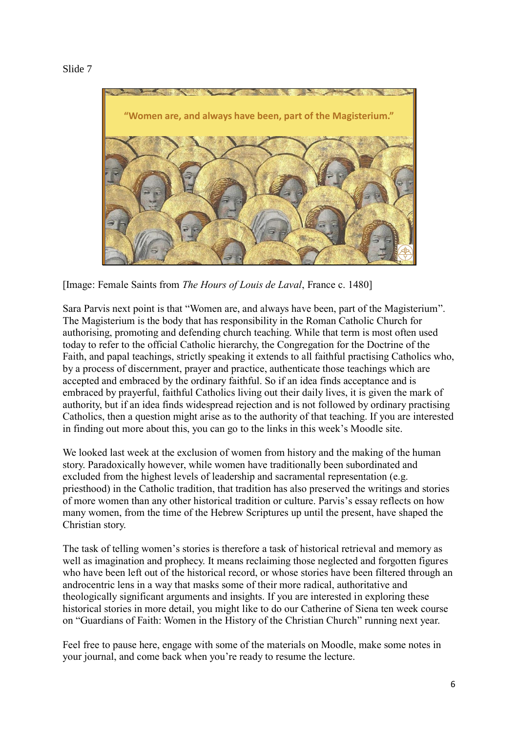

[Image: Female Saints from *The Hours of Louis de Laval*, France c. 1480]

Sara Parvis next point is that "Women are, and always have been, part of the Magisterium". The Magisterium is the body that has responsibility in the Roman Catholic Church for authorising, promoting and defending church teaching. While that term is most often used today to refer to the official Catholic hierarchy, the Congregation for the Doctrine of the Faith, and papal teachings, strictly speaking it extends to all faithful practising Catholics who, by a process of discernment, prayer and practice, authenticate those teachings which are accepted and embraced by the ordinary faithful. So if an idea finds acceptance and is embraced by prayerful, faithful Catholics living out their daily lives, it is given the mark of authority, but if an idea finds widespread rejection and is not followed by ordinary practising Catholics, then a question might arise as to the authority of that teaching. If you are interested in finding out more about this, you can go to the links in this week's Moodle site.

We looked last week at the exclusion of women from history and the making of the human story. Paradoxically however, while women have traditionally been subordinated and excluded from the highest levels of leadership and sacramental representation (e.g. priesthood) in the Catholic tradition, that tradition has also preserved the writings and stories of more women than any other historical tradition or culture. Parvis's essay reflects on how many women, from the time of the Hebrew Scriptures up until the present, have shaped the Christian story.

The task of telling women's stories is therefore a task of historical retrieval and memory as well as imagination and prophecy. It means reclaiming those neglected and forgotten figures who have been left out of the historical record, or whose stories have been filtered through an androcentric lens in a way that masks some of their more radical, authoritative and theologically significant arguments and insights. If you are interested in exploring these historical stories in more detail, you might like to do our Catherine of Siena ten week course on "Guardians of Faith: Women in the History of the Christian Church" running next year.

Feel free to pause here, engage with some of the materials on Moodle, make some notes in your journal, and come back when you're ready to resume the lecture.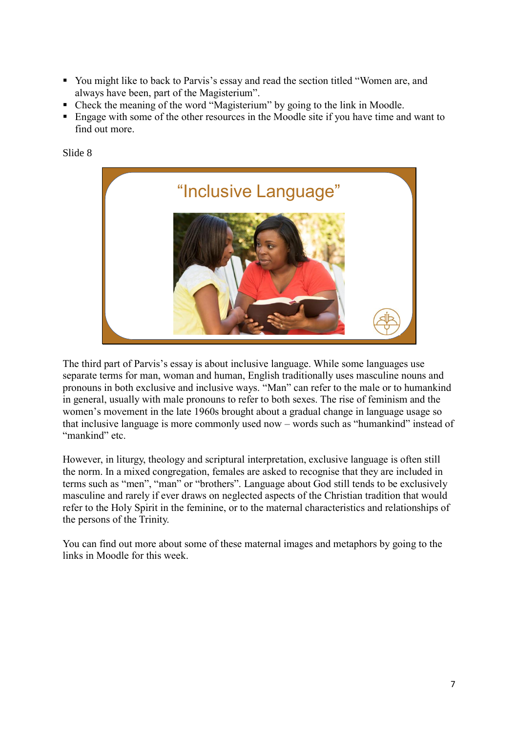- You might like to back to Parvis's essay and read the section titled "Women are, and always have been, part of the Magisterium".
- Check the meaning of the word "Magisterium" by going to the link in Moodle.
- Engage with some of the other resources in the Moodle site if you have time and want to find out more.



The third part of Parvis's essay is about inclusive language. While some languages use separate terms for man, woman and human, English traditionally uses masculine nouns and pronouns in both exclusive and inclusive ways. "Man" can refer to the male or to humankind in general, usually with male pronouns to refer to both sexes. The rise of feminism and the women's movement in the late 1960s brought about a gradual change in language usage so that inclusive language is more commonly used now – words such as "humankind" instead of "mankind" etc.

However, in liturgy, theology and scriptural interpretation, exclusive language is often still the norm. In a mixed congregation, females are asked to recognise that they are included in terms such as "men", "man" or "brothers". Language about God still tends to be exclusively masculine and rarely if ever draws on neglected aspects of the Christian tradition that would refer to the Holy Spirit in the feminine, or to the maternal characteristics and relationships of the persons of the Trinity.

You can find out more about some of these maternal images and metaphors by going to the links in Moodle for this week.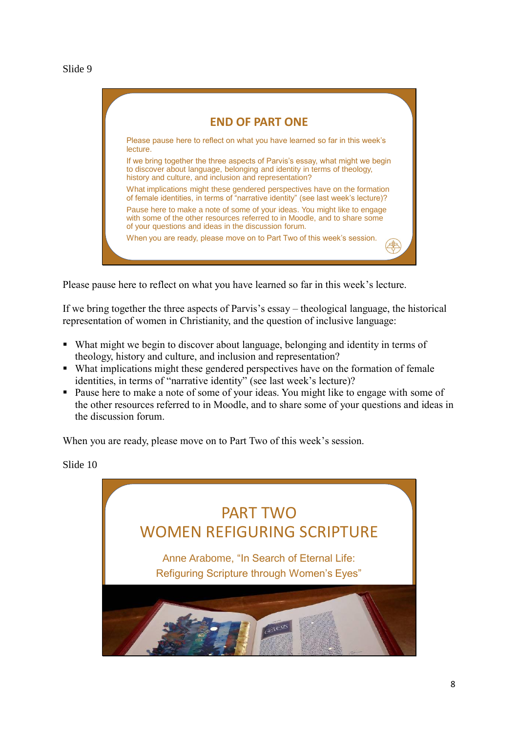**END OF PART ONE** Please pause here to reflect on what you have learned so far in this week's lecture. If we bring together the three aspects of Parvis's essay, what might we begin to discover about language, belonging and identity in terms of theology, history and culture, and inclusion and representation? What implications might these gendered perspectives have on the formation of female identities, in terms of "narrative identity" (see last week's lecture)? Pause here to make a note of some of your ideas. You might like to engage with some of the other resources referred to in Moodle, and to share some of your questions and ideas in the discussion forum. When you are ready, please move on to Part Two of this week's session.

Please pause here to reflect on what you have learned so far in this week's lecture.

If we bring together the three aspects of Parvis's essay – theological language, the historical representation of women in Christianity, and the question of inclusive language:

- What might we begin to discover about language, belonging and identity in terms of theology, history and culture, and inclusion and representation?
- What implications might these gendered perspectives have on the formation of female identities, in terms of "narrative identity" (see last week's lecture)?
- Pause here to make a note of some of your ideas. You might like to engage with some of the other resources referred to in Moodle, and to share some of your questions and ideas in the discussion forum.

When you are ready, please move on to Part Two of this week's session.

Slide 10

# PART TWO WOMEN REFIGURING SCRIPTURE Anne Arabome, "In Search of Eternal Life: Refiguring Scripture through Women's Eyes"

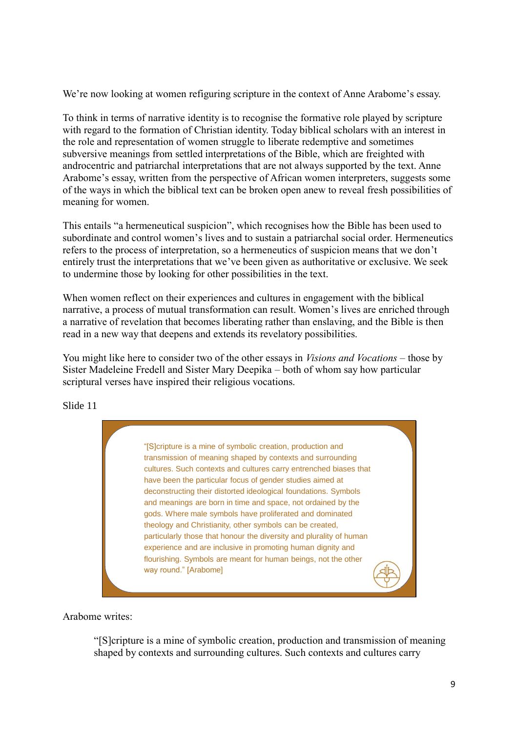We're now looking at women refiguring scripture in the context of Anne Arabome's essay.

To think in terms of narrative identity is to recognise the formative role played by scripture with regard to the formation of Christian identity. Today biblical scholars with an interest in the role and representation of women struggle to liberate redemptive and sometimes subversive meanings from settled interpretations of the Bible, which are freighted with androcentric and patriarchal interpretations that are not always supported by the text. Anne Arabome's essay, written from the perspective of African women interpreters, suggests some of the ways in which the biblical text can be broken open anew to reveal fresh possibilities of meaning for women.

This entails "a hermeneutical suspicion", which recognises how the Bible has been used to subordinate and control women's lives and to sustain a patriarchal social order. Hermeneutics refers to the process of interpretation, so a hermeneutics of suspicion means that we don't entirely trust the interpretations that we've been given as authoritative or exclusive. We seek to undermine those by looking for other possibilities in the text.

When women reflect on their experiences and cultures in engagement with the biblical narrative, a process of mutual transformation can result. Women's lives are enriched through a narrative of revelation that becomes liberating rather than enslaving, and the Bible is then read in a new way that deepens and extends its revelatory possibilities.

You might like here to consider two of the other essays in *Visions and Vocations* – those by Sister Madeleine Fredell and Sister Mary Deepika – both of whom say how particular scriptural verses have inspired their religious vocations.

Slide 11

"[S]cripture is a mine of symbolic creation, production and transmission of meaning shaped by contexts and surrounding cultures. Such contexts and cultures carry entrenched biases that have been the particular focus of gender studies aimed at deconstructing their distorted ideological foundations. Symbols and meanings are born in time and space, not ordained by the gods. Where male symbols have proliferated and dominated theology and Christianity, other symbols can be created, particularly those that honour the diversity and plurality of human experience and are inclusive in promoting human dignity and flourishing. Symbols are meant for human beings, not the other way round." [Arabome]

Arabome writes:

"[S]cripture is a mine of symbolic creation, production and transmission of meaning shaped by contexts and surrounding cultures. Such contexts and cultures carry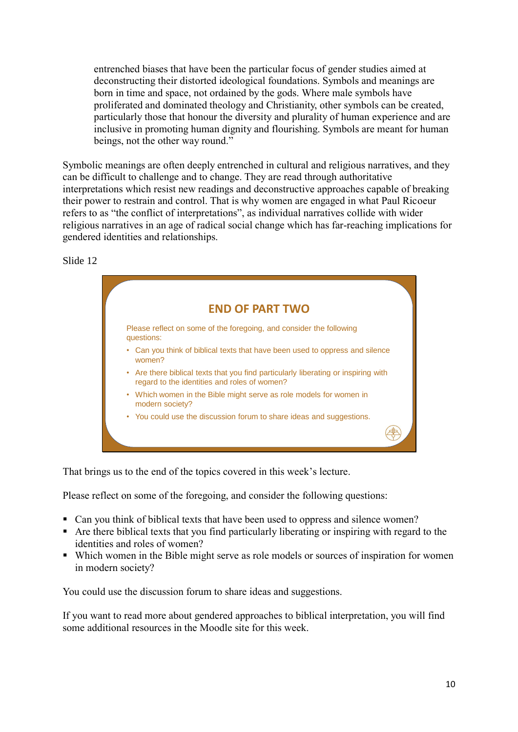entrenched biases that have been the particular focus of gender studies aimed at deconstructing their distorted ideological foundations. Symbols and meanings are born in time and space, not ordained by the gods. Where male symbols have proliferated and dominated theology and Christianity, other symbols can be created, particularly those that honour the diversity and plurality of human experience and are inclusive in promoting human dignity and flourishing. Symbols are meant for human beings, not the other way round."

Symbolic meanings are often deeply entrenched in cultural and religious narratives, and they can be difficult to challenge and to change. They are read through authoritative interpretations which resist new readings and deconstructive approaches capable of breaking their power to restrain and control. That is why women are engaged in what Paul Ricoeur refers to as "the conflict of interpretations", as individual narratives collide with wider religious narratives in an age of radical social change which has far-reaching implications for gendered identities and relationships.

Slide 12



That brings us to the end of the topics covered in this week's lecture.

Please reflect on some of the foregoing, and consider the following questions:

- Can you think of biblical texts that have been used to oppress and silence women?
- Are there biblical texts that you find particularly liberating or inspiring with regard to the identities and roles of women?
- Which women in the Bible might serve as role models or sources of inspiration for women in modern society?

You could use the discussion forum to share ideas and suggestions.

If you want to read more about gendered approaches to biblical interpretation, you will find some additional resources in the Moodle site for this week.